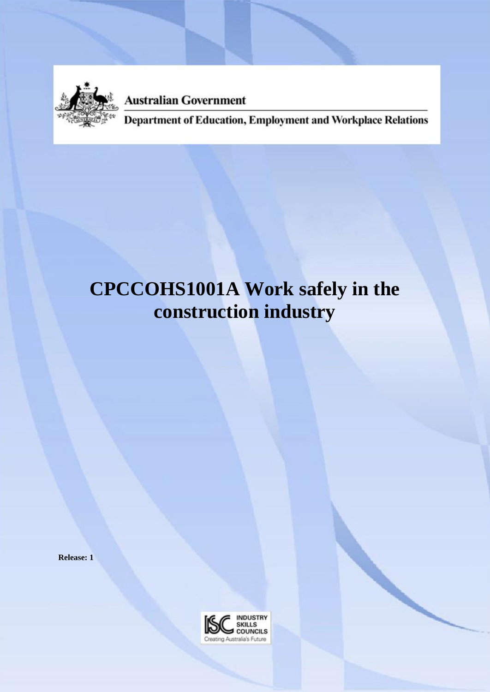

**Australian Government** 

Department of Education, Employment and Workplace Relations

# **CPCCOHS1001A Work safely in the construction industry**

**Release: 1**

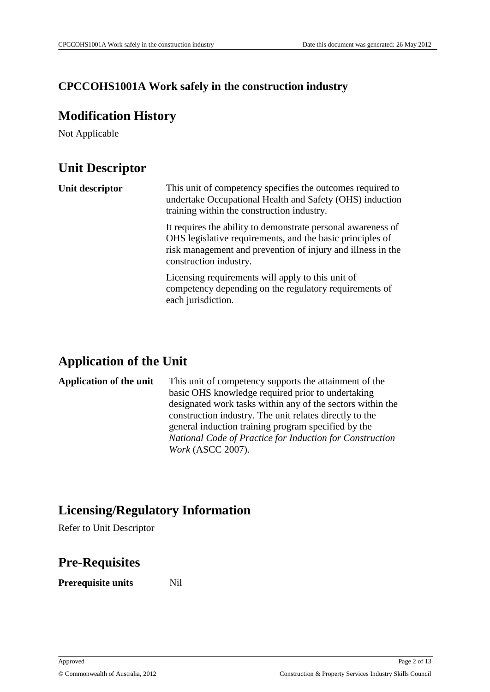### **CPCCOHS1001A Work safely in the construction industry**

### **Modification History**

Not Applicable

# **Unit Descriptor**

| Unit descriptor | This unit of competency specifies the outcomes required to<br>undertake Occupational Health and Safety (OHS) induction<br>training within the construction industry.                                               |
|-----------------|--------------------------------------------------------------------------------------------------------------------------------------------------------------------------------------------------------------------|
|                 | It requires the ability to demonstrate personal awareness of<br>OHS legislative requirements, and the basic principles of<br>risk management and prevention of injury and illness in the<br>construction industry. |
|                 | Licensing requirements will apply to this unit of<br>competency depending on the regulatory requirements of<br>each jurisdiction.                                                                                  |

# **Application of the Unit**

**Application of the unit** This unit of competency supports the attainment of the basic OHS knowledge required prior to undertaking designated work tasks within any of the sectors within the construction industry. The unit relates directly to the general induction training program specified by the *National Code of Practice for Induction for Construction Work* (ASCC 2007).

# **Licensing/Regulatory Information**

Refer to Unit Descriptor

### **Pre-Requisites**

**Prerequisite units** Nil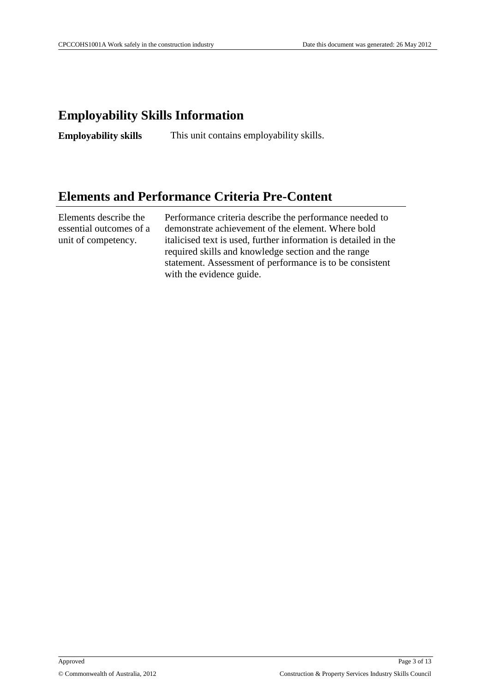# **Employability Skills Information**

**Employability skills** This unit contains employability skills.

### **Elements and Performance Criteria Pre-Content**

Elements describe the essential outcomes of a unit of competency.

Performance criteria describe the performance needed to demonstrate achievement of the element. Where bold italicised text is used, further information is detailed in the required skills and knowledge section and the range statement. Assessment of performance is to be consistent with the evidence guide.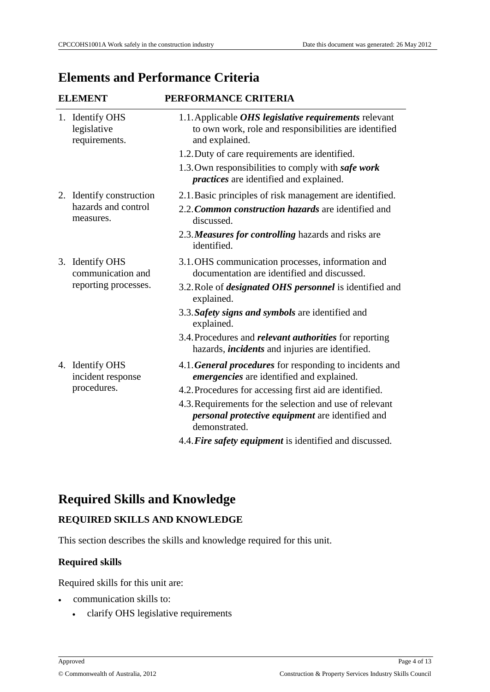# **Elements and Performance Criteria**

| <b>ELEMENT</b> |                                                              | PERFORMANCE CRITERIA                                                                                                                    |  |
|----------------|--------------------------------------------------------------|-----------------------------------------------------------------------------------------------------------------------------------------|--|
|                | 1. Identify OHS<br>legislative<br>requirements.              | 1.1. Applicable <i>OHS legislative requirements</i> relevant<br>to own work, role and responsibilities are identified<br>and explained. |  |
|                |                                                              | 1.2. Duty of care requirements are identified.                                                                                          |  |
|                |                                                              | 1.3. Own responsibilities to comply with safe work<br><i>practices</i> are identified and explained.                                    |  |
|                | 2. Identify construction                                     | 2.1. Basic principles of risk management are identified.                                                                                |  |
|                | hazards and control<br>measures.                             | 2.2. Common construction hazards are identified and<br>discussed.                                                                       |  |
|                |                                                              | 2.3. Measures for controlling hazards and risks are<br>identified.                                                                      |  |
|                | 3. Identify OHS<br>communication and<br>reporting processes. | 3.1. OHS communication processes, information and<br>documentation are identified and discussed.                                        |  |
|                |                                                              | 3.2. Role of <i>designated OHS personnel</i> is identified and<br>explained.                                                            |  |
|                |                                                              | 3.3. Safety signs and symbols are identified and<br>explained.                                                                          |  |
|                |                                                              | 3.4. Procedures and <i>relevant authorities</i> for reporting<br>hazards, <i>incidents</i> and injuries are identified.                 |  |
|                | 4. Identify OHS<br>incident response                         | 4.1. General procedures for responding to incidents and<br>emergencies are identified and explained.                                    |  |
|                | procedures.                                                  | 4.2. Procedures for accessing first aid are identified.                                                                                 |  |
|                |                                                              | 4.3. Requirements for the selection and use of relevant<br>personal protective equipment are identified and<br>demonstrated.            |  |
|                |                                                              | 4.4. Fire safety equipment is identified and discussed.                                                                                 |  |

# **Required Skills and Knowledge**

#### **REQUIRED SKILLS AND KNOWLEDGE**

This section describes the skills and knowledge required for this unit.

#### **Required skills**

Required skills for this unit are:

- communication skills to:
	- clarify OHS legislative requirements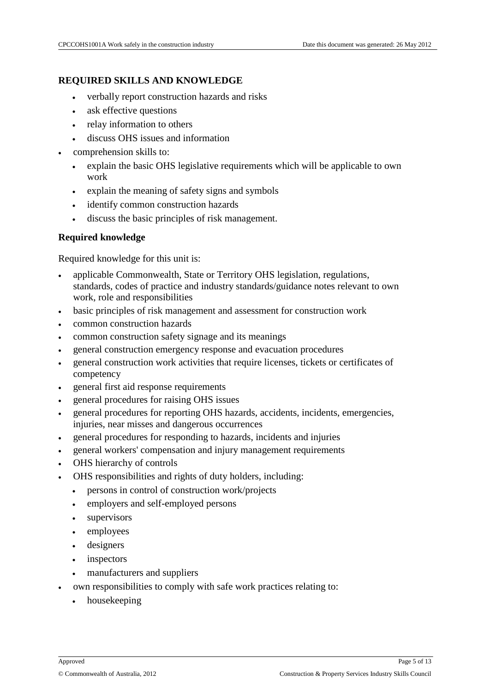#### **REQUIRED SKILLS AND KNOWLEDGE**

- verbally report construction hazards and risks
- ask effective questions
- relay information to others
- discuss OHS issues and information
- comprehension skills to:
	- explain the basic OHS legislative requirements which will be applicable to own work
	- explain the meaning of safety signs and symbols
	- identify common construction hazards
	- discuss the basic principles of risk management.

#### **Required knowledge**

Required knowledge for this unit is:

- applicable Commonwealth, State or Territory OHS legislation, regulations, standards, codes of practice and industry standards/guidance notes relevant to own work, role and responsibilities
- basic principles of risk management and assessment for construction work
- common construction hazards
- common construction safety signage and its meanings
- general construction emergency response and evacuation procedures
- general construction work activities that require licenses, tickets or certificates of competency
- general first aid response requirements
- general procedures for raising OHS issues
- general procedures for reporting OHS hazards, accidents, incidents, emergencies, injuries, near misses and dangerous occurrences
- general procedures for responding to hazards, incidents and injuries
- general workers' compensation and injury management requirements
- OHS hierarchy of controls
- OHS responsibilities and rights of duty holders, including:
	- persons in control of construction work/projects
	- employers and self-employed persons
	- supervisors
	- employees
	- designers
	- inspectors
	- manufacturers and suppliers
- own responsibilities to comply with safe work practices relating to:
	- housekeeping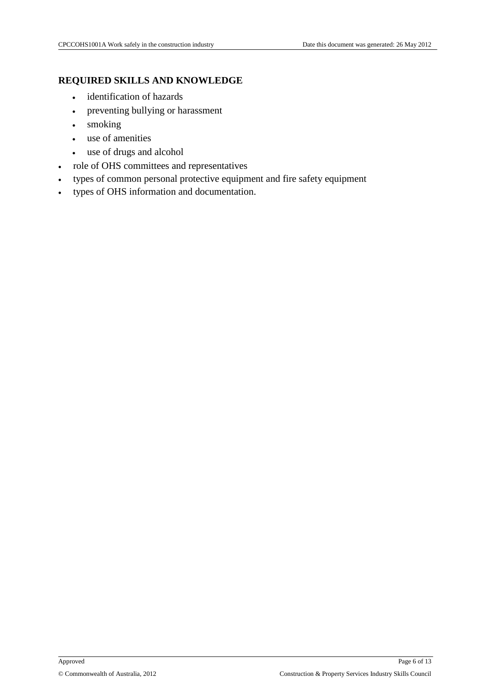#### **REQUIRED SKILLS AND KNOWLEDGE**

- identification of hazards
- preventing bullying or harassment
- smoking
- use of amenities
- use of drugs and alcohol
- role of OHS committees and representatives
- types of common personal protective equipment and fire safety equipment
- types of OHS information and documentation.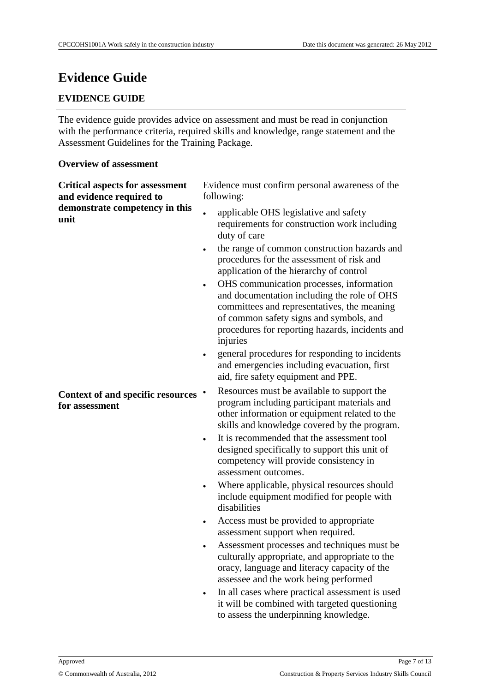# **Evidence Guide**

#### **EVIDENCE GUIDE**

The evidence guide provides advice on assessment and must be read in conjunction with the performance criteria, required skills and knowledge, range statement and the Assessment Guidelines for the Training Package.

#### **Overview of assessment**

| <b>Critical aspects for assessment</b><br>and evidence required to | Evidence must confirm personal awareness of the<br>following:                                                                                                                                                                                                                                                                                                                                                                                                                                                                                                                              |
|--------------------------------------------------------------------|--------------------------------------------------------------------------------------------------------------------------------------------------------------------------------------------------------------------------------------------------------------------------------------------------------------------------------------------------------------------------------------------------------------------------------------------------------------------------------------------------------------------------------------------------------------------------------------------|
| demonstrate competency in this<br>unit                             | applicable OHS legislative and safety<br>requirements for construction work including<br>duty of care<br>the range of common construction hazards and<br>$\bullet$<br>procedures for the assessment of risk and<br>application of the hierarchy of control<br>OHS communication processes, information<br>$\bullet$<br>and documentation including the role of OHS<br>committees and representatives, the meaning<br>of common safety signs and symbols, and<br>procedures for reporting hazards, incidents and<br>injuries<br>general procedures for responding to incidents<br>$\bullet$ |
| Context of and specific resources<br>for assessment                | and emergencies including evacuation, first<br>aid, fire safety equipment and PPE.<br>Resources must be available to support the<br>$\bullet$<br>program including participant materials and<br>other information or equipment related to the<br>skills and knowledge covered by the program.<br>It is recommended that the assessment tool<br>$\bullet$<br>designed specifically to support this unit of                                                                                                                                                                                  |
|                                                                    | competency will provide consistency in<br>assessment outcomes.<br>Where applicable, physical resources should<br>$\bullet$<br>include equipment modified for people with<br>disabilities                                                                                                                                                                                                                                                                                                                                                                                                   |
|                                                                    | Access must be provided to appropriate<br>$\bullet$<br>assessment support when required.<br>Assessment processes and techniques must be<br>culturally appropriate, and appropriate to the<br>oracy, language and literacy capacity of the<br>assessee and the work being performed                                                                                                                                                                                                                                                                                                         |
|                                                                    | In all cases where practical assessment is used<br>it will be combined with targeted questioning                                                                                                                                                                                                                                                                                                                                                                                                                                                                                           |

to assess the underpinning knowledge.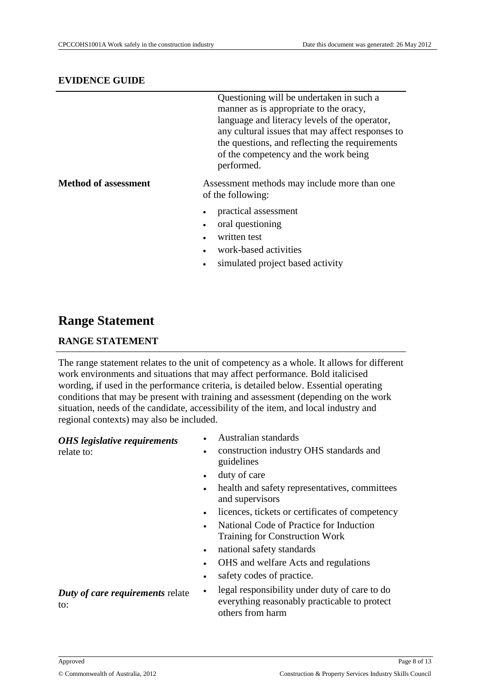#### **EVIDENCE GUIDE**

|                      | Questioning will be undertaken in such a<br>manner as is appropriate to the oracy,<br>language and literacy levels of the operator,<br>any cultural issues that may affect responses to<br>the questions, and reflecting the requirements<br>of the competency and the work being<br>performed. |
|----------------------|-------------------------------------------------------------------------------------------------------------------------------------------------------------------------------------------------------------------------------------------------------------------------------------------------|
| Method of assessment | Assessment methods may include more than one<br>of the following:                                                                                                                                                                                                                               |
|                      | practical assessment                                                                                                                                                                                                                                                                            |
|                      | oral questioning                                                                                                                                                                                                                                                                                |
|                      | written test                                                                                                                                                                                                                                                                                    |
|                      | work-based activities                                                                                                                                                                                                                                                                           |
|                      | simulated project based activity                                                                                                                                                                                                                                                                |
|                      |                                                                                                                                                                                                                                                                                                 |

### **Range Statement**

#### **RANGE STATEMENT**

The range statement relates to the unit of competency as a whole. It allows for different work environments and situations that may affect performance. Bold italicised wording, if used in the performance criteria, is detailed below. Essential operating conditions that may be present with training and assessment (depending on the work situation, needs of the candidate, accessibility of the item, and local industry and regional contexts) may also be included.

#### *OHS legislative requirements*

relate to:

- Australian standards
- construction industry OHS standards and guidelines
- duty of care
- health and safety representatives, committees and supervisors
- licences, tickets or certificates of competency
- National Code of Practice for Induction Training for Construction Work
- national safety standards
- OHS and welfare Acts and regulations
- safety codes of practice.
- legal responsibility under duty of care to do everything reasonably practicable to protect others from harm

*Duty of care requirements* relate to: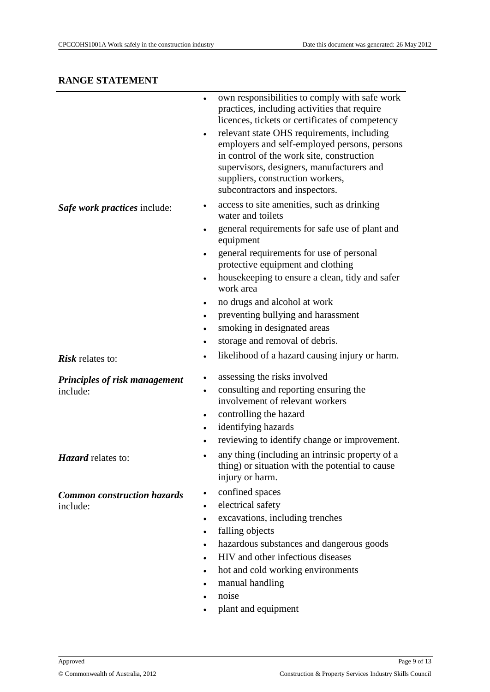|                                    | own responsibilities to comply with safe work<br>practices, including activities that require<br>licences, tickets or certificates of competency<br>relevant state OHS requirements, including<br>$\bullet$<br>employers and self-employed persons, persons<br>in control of the work site, construction<br>supervisors, designers, manufacturers and<br>suppliers, construction workers,<br>subcontractors and inspectors. |
|------------------------------------|-----------------------------------------------------------------------------------------------------------------------------------------------------------------------------------------------------------------------------------------------------------------------------------------------------------------------------------------------------------------------------------------------------------------------------|
| Safe work practices include:       | access to site amenities, such as drinking<br>$\bullet$<br>water and toilets                                                                                                                                                                                                                                                                                                                                                |
|                                    | general requirements for safe use of plant and<br>equipment                                                                                                                                                                                                                                                                                                                                                                 |
|                                    | general requirements for use of personal<br>protective equipment and clothing                                                                                                                                                                                                                                                                                                                                               |
|                                    | house keeping to ensure a clean, tidy and safer<br>$\bullet$<br>work area                                                                                                                                                                                                                                                                                                                                                   |
|                                    | no drugs and alcohol at work<br>٠                                                                                                                                                                                                                                                                                                                                                                                           |
|                                    | preventing bullying and harassment<br>٠                                                                                                                                                                                                                                                                                                                                                                                     |
|                                    | smoking in designated areas<br>$\bullet$                                                                                                                                                                                                                                                                                                                                                                                    |
|                                    | storage and removal of debris.<br>٠                                                                                                                                                                                                                                                                                                                                                                                         |
| <b>Risk</b> relates to:            | likelihood of a hazard causing injury or harm.<br>٠                                                                                                                                                                                                                                                                                                                                                                         |
| Principles of risk management      | assessing the risks involved                                                                                                                                                                                                                                                                                                                                                                                                |
| include:                           | consulting and reporting ensuring the<br>٠<br>involvement of relevant workers                                                                                                                                                                                                                                                                                                                                               |
|                                    | controlling the hazard<br>$\bullet$                                                                                                                                                                                                                                                                                                                                                                                         |
|                                    | identifying hazards<br>٠                                                                                                                                                                                                                                                                                                                                                                                                    |
|                                    | reviewing to identify change or improvement.<br>٠                                                                                                                                                                                                                                                                                                                                                                           |
| <i>Hazard</i> relates to:          | any thing (including an intrinsic property of a<br>thing) or situation with the potential to cause<br>injury or harm.                                                                                                                                                                                                                                                                                                       |
| <b>Common construction hazards</b> | confined spaces<br>٠                                                                                                                                                                                                                                                                                                                                                                                                        |
| include:                           | electrical safety                                                                                                                                                                                                                                                                                                                                                                                                           |
|                                    | excavations, including trenches<br>٠                                                                                                                                                                                                                                                                                                                                                                                        |
|                                    | falling objects<br>٠                                                                                                                                                                                                                                                                                                                                                                                                        |
|                                    | hazardous substances and dangerous goods                                                                                                                                                                                                                                                                                                                                                                                    |
|                                    | HIV and other infectious diseases<br>$\bullet$                                                                                                                                                                                                                                                                                                                                                                              |
|                                    | hot and cold working environments<br>٠                                                                                                                                                                                                                                                                                                                                                                                      |
|                                    | manual handling<br>٠<br>noise                                                                                                                                                                                                                                                                                                                                                                                               |
|                                    | ٠<br>plant and equipment                                                                                                                                                                                                                                                                                                                                                                                                    |
|                                    |                                                                                                                                                                                                                                                                                                                                                                                                                             |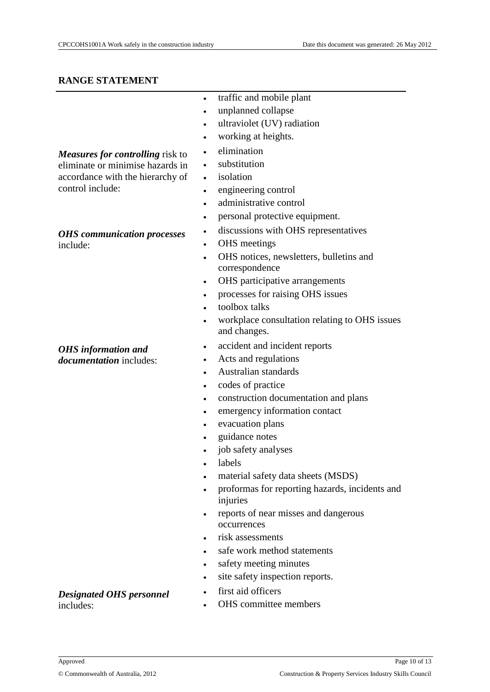- traffic and mobile plant
- unplanned collapse
- ultraviolet (UV) radiation
- working at heights.
- elimination
- substitution
- isolation
- engineering control
- administrative control
- personal protective equipment.
- discussions with OHS representatives
- OHS meetings
- OHS notices, newsletters, bulletins and correspondence
- OHS participative arrangements
- processes for raising OHS issues
- toolbox talks
- workplace consultation relating to OHS issues and changes.
- accident and incident reports
- Acts and regulations
- Australian standards
- codes of practice
- construction documentation and plans
- emergency information contact
- evacuation plans
- guidance notes
- job safety analyses
- labels
- material safety data sheets (MSDS)
- proformas for reporting hazards, incidents and injuries
- reports of near misses and dangerous occurrences
- risk assessments
- safe work method statements
- safety meeting minutes
- site safety inspection reports.
- first aid officers
- OHS committee members

*Measures for controlling* risk to eliminate or minimise hazards in accordance with the hierarchy of control include:

#### *OHS communication processes* include:

#### *OHS information and documentation* includes:

*Designated OHS personnel*

includes: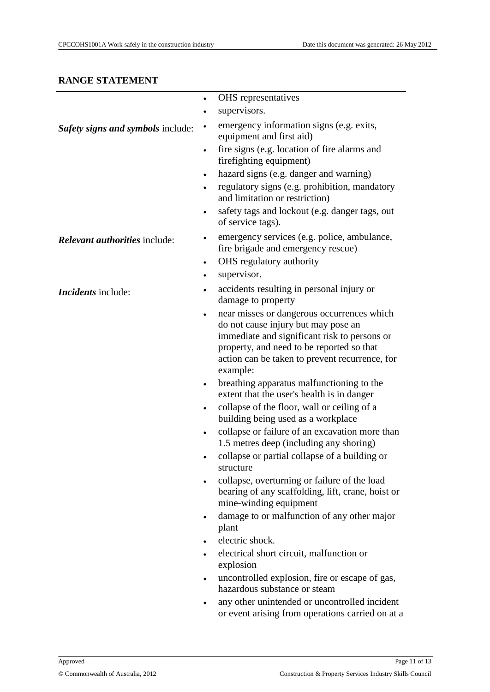|                                      | $\bullet$ | OHS representatives                                                                                                                                                                                                                          |
|--------------------------------------|-----------|----------------------------------------------------------------------------------------------------------------------------------------------------------------------------------------------------------------------------------------------|
|                                      | $\bullet$ | supervisors.                                                                                                                                                                                                                                 |
| Safety signs and symbols include:    | $\bullet$ | emergency information signs (e.g. exits,<br>equipment and first aid)                                                                                                                                                                         |
|                                      |           | fire signs (e.g. location of fire alarms and<br>firefighting equipment)                                                                                                                                                                      |
|                                      | $\bullet$ | hazard signs (e.g. danger and warning)                                                                                                                                                                                                       |
|                                      | $\bullet$ | regulatory signs (e.g. prohibition, mandatory<br>and limitation or restriction)                                                                                                                                                              |
|                                      | $\bullet$ | safety tags and lockout (e.g. danger tags, out<br>of service tags).                                                                                                                                                                          |
| <i>Relevant authorities include:</i> | $\bullet$ | emergency services (e.g. police, ambulance,<br>fire brigade and emergency rescue)                                                                                                                                                            |
|                                      | $\bullet$ | OHS regulatory authority                                                                                                                                                                                                                     |
|                                      | $\bullet$ | supervisor.                                                                                                                                                                                                                                  |
| <i>Incidents</i> include:            | $\bullet$ | accidents resulting in personal injury or<br>damage to property                                                                                                                                                                              |
|                                      | $\bullet$ | near misses or dangerous occurrences which<br>do not cause injury but may pose an<br>immediate and significant risk to persons or<br>property, and need to be reported so that<br>action can be taken to prevent recurrence, for<br>example: |
|                                      | $\bullet$ | breathing apparatus malfunctioning to the<br>extent that the user's health is in danger                                                                                                                                                      |
|                                      | $\bullet$ | collapse of the floor, wall or ceiling of a<br>building being used as a workplace                                                                                                                                                            |
|                                      | $\bullet$ | collapse or failure of an excavation more than<br>1.5 metres deep (including any shoring)                                                                                                                                                    |
|                                      |           | collapse or partial collapse of a building or<br>structure                                                                                                                                                                                   |
|                                      |           | collapse, overturning or failure of the load<br>bearing of any scaffolding, lift, crane, hoist or<br>mine-winding equipment                                                                                                                  |
|                                      | $\bullet$ | damage to or malfunction of any other major<br>plant                                                                                                                                                                                         |
|                                      |           | electric shock.                                                                                                                                                                                                                              |
|                                      |           | electrical short circuit, malfunction or<br>explosion                                                                                                                                                                                        |
|                                      |           | uncontrolled explosion, fire or escape of gas,<br>hazardous substance or steam                                                                                                                                                               |
|                                      |           | any other unintended or uncontrolled incident<br>or event arising from operations carried on at a                                                                                                                                            |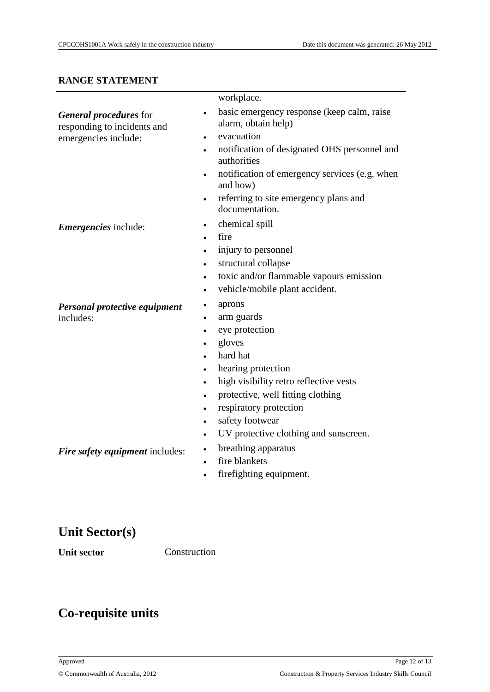|                                                       | workplace.                                                                     |
|-------------------------------------------------------|--------------------------------------------------------------------------------|
| General procedures for<br>responding to incidents and | basic emergency response (keep calm, raise<br>$\bullet$<br>alarm, obtain help) |
| emergencies include:                                  | evacuation<br>$\bullet$                                                        |
|                                                       | notification of designated OHS personnel and<br>authorities                    |
|                                                       | notification of emergency services (e.g. when<br>and how)                      |
|                                                       | referring to site emergency plans and<br>documentation.                        |
| <i>Emergencies</i> include:                           | chemical spill<br>$\bullet$                                                    |
|                                                       | fire<br>$\bullet$                                                              |
|                                                       | injury to personnel<br>$\bullet$                                               |
|                                                       | structural collapse<br>$\bullet$                                               |
|                                                       | toxic and/or flammable vapours emission<br>$\bullet$                           |
|                                                       | vehicle/mobile plant accident.<br>$\bullet$                                    |
| Personal protective equipment                         | aprons                                                                         |
| includes:                                             | arm guards                                                                     |
|                                                       | eye protection<br>$\bullet$                                                    |
|                                                       | gloves                                                                         |
|                                                       | hard hat                                                                       |
|                                                       | hearing protection<br>$\bullet$                                                |
|                                                       | high visibility retro reflective vests<br>$\bullet$                            |
|                                                       | protective, well fitting clothing<br>$\bullet$                                 |
|                                                       | respiratory protection<br>$\bullet$                                            |
|                                                       | safety footwear                                                                |
|                                                       | UV protective clothing and sunscreen.<br>$\bullet$                             |
| Fire safety equipment includes:                       | breathing apparatus<br>$\bullet$                                               |
|                                                       | fire blankets                                                                  |
|                                                       | firefighting equipment.                                                        |
|                                                       |                                                                                |
|                                                       |                                                                                |
|                                                       |                                                                                |

# **Unit Sector(s)**

Unit sector **Construction** 

# **Co-requisite units**